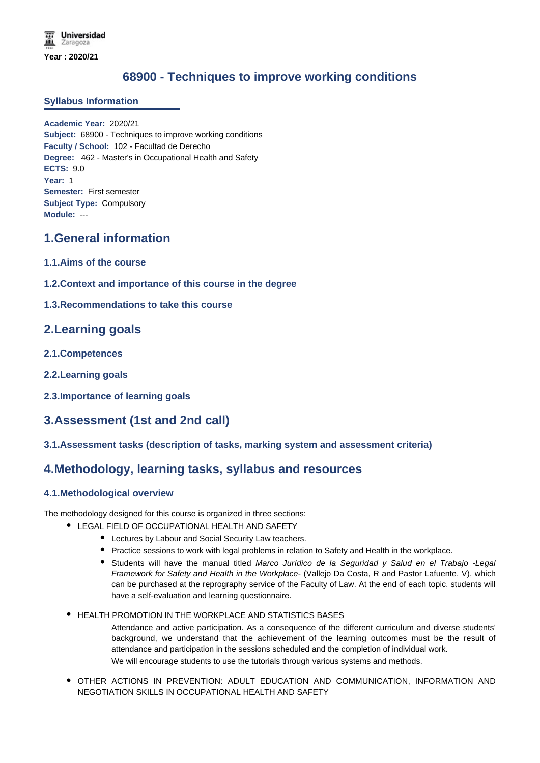# **68900 - Techniques to improve working conditions**

### **Syllabus Information**

**Academic Year:** 2020/21 **Subject:** 68900 - Techniques to improve working conditions **Faculty / School:** 102 - Facultad de Derecho **Degree:** 462 - Master's in Occupational Health and Safety **ECTS:** 9.0 **Year:** 1 **Semester:** First semester **Subject Type:** Compulsory **Module:** ---

## **1.General information**

- **1.1.Aims of the course**
- **1.2.Context and importance of this course in the degree**
- **1.3.Recommendations to take this course**

## **2.Learning goals**

- **2.1.Competences**
- **2.2.Learning goals**
- **2.3.Importance of learning goals**

# **3.Assessment (1st and 2nd call)**

**3.1.Assessment tasks (description of tasks, marking system and assessment criteria)**

## **4.Methodology, learning tasks, syllabus and resources**

### **4.1.Methodological overview**

The methodology designed for this course is organized in three sections:

- LEGAL FIELD OF OCCUPATIONAL HEALTH AND SAFETY
	- Lectures by Labour and Social Security Law teachers.
	- **Practice sessions to work with legal problems in relation to Safety and Health in the workplace.**
	- Students will have the manual titled *Marco Jurídico de la Seguridad y Salud en el Trabajo -Legal Framework for Safety and Health in the Workplace-* (Vallejo Da Costa, R and Pastor Lafuente, V), which can be purchased at the reprography service of the Faculty of Law. At the end of each topic, students will have a self-evaluation and learning questionnaire.
- HEALTH PROMOTION IN THE WORKPLACE AND STATISTICS BASES Attendance and active participation. As a consequence of the different curriculum and diverse students' background, we understand that the achievement of the learning outcomes must be the result of attendance and participation in the sessions scheduled and the completion of individual work. We will encourage students to use the tutorials through various systems and methods.
- OTHER ACTIONS IN PREVENTION: ADULT EDUCATION AND COMMUNICATION, INFORMATION AND NEGOTIATION SKILLS IN OCCUPATIONAL HEALTH AND SAFETY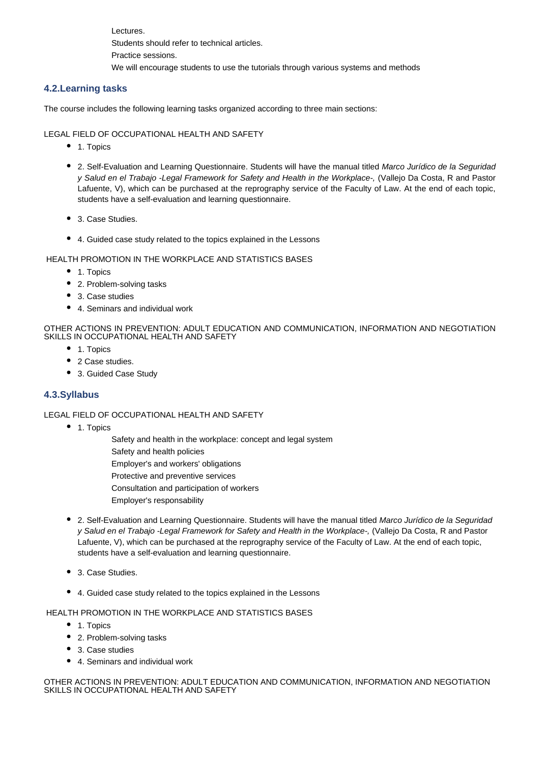Lectures. Students should refer to technical articles. Practice sessions. We will encourage students to use the tutorials through various systems and methods

### **4.2.Learning tasks**

The course includes the following learning tasks organized according to three main sections:

#### LEGAL FIELD OF OCCUPATIONAL HEALTH AND SAFETY

- 1. Topics
- 2. Self-Evaluation and Learning Questionnaire. Students will have the manual titled *Marco Jurídico de la Seguridad y Salud en el Trabajo -Legal Framework for Safety and Health in the Workplace-,* (Vallejo Da Costa, R and Pastor Lafuente, V), which can be purchased at the reprography service of the Faculty of Law. At the end of each topic, students have a self-evaluation and learning questionnaire.
- 3. Case Studies.
- 4. Guided case study related to the topics explained in the Lessons

#### HEALTH PROMOTION IN THE WORKPLACE AND STATISTICS BASES

- 1. Topics
- 2. Problem-solving tasks
- 3. Case studies
- 4. Seminars and individual work

#### OTHER ACTIONS IN PREVENTION: ADULT EDUCATION AND COMMUNICATION, INFORMATION AND NEGOTIATION SKILLS IN OCCUPATIONAL HEALTH AND SAFETY

- 1. Topics
- 2 Case studies.
- 3. Guided Case Study

### **4.3.Syllabus**

#### LEGAL FIELD OF OCCUPATIONAL HEALTH AND SAFETY

- 1. Topics
	- Safety and health in the workplace: concept and legal system
	- Safety and health policies
	- Employer's and workers' obligations
	- Protective and preventive services
	- Consultation and participation of workers
	- Employer's responsability
- 2. Self-Evaluation and Learning Questionnaire. Students will have the manual titled *Marco Jurídico de la Seguridad y Salud en el Trabajo -Legal Framework for Safety and Health in the Workplace-,* (Vallejo Da Costa, R and Pastor Lafuente, V), which can be purchased at the reprography service of the Faculty of Law. At the end of each topic, students have a self-evaluation and learning questionnaire.
- 3. Case Studies.
- 4. Guided case study related to the topics explained in the Lessons

HEALTH PROMOTION IN THE WORKPLACE AND STATISTICS BASES

- 1. Topics
- 2. Problem-solving tasks
- 3. Case studies
- 4. Seminars and individual work

OTHER ACTIONS IN PREVENTION: ADULT EDUCATION AND COMMUNICATION, INFORMATION AND NEGOTIATION SKILLS IN OCCUPATIONAL HEALTH AND SAFETY